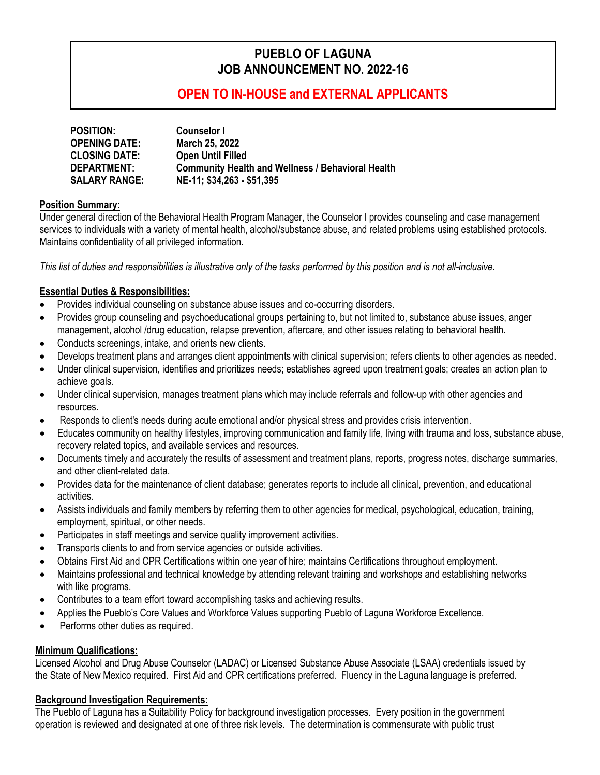# **PUEBLO OF LAGUNA JOB ANNOUNCEMENT NO. 2022-16**

# **OPEN TO IN-HOUSE and EXTERNAL APPLICANTS**

| <b>POSITION:</b>     | <b>Counselor I</b>                                       |
|----------------------|----------------------------------------------------------|
| <b>OPENING DATE:</b> | March 25, 2022                                           |
| <b>CLOSING DATE:</b> | <b>Open Until Filled</b>                                 |
| DEPARTMENT:          | <b>Community Health and Wellness / Behavioral Health</b> |
| <b>SALARY RANGE:</b> | NE-11; \$34,263 - \$51,395                               |

#### **Position Summary:**

Under general direction of the Behavioral Health Program Manager, the Counselor I provides counseling and case management services to individuals with a variety of mental health, alcohol/substance abuse, and related problems using established protocols. Maintains confidentiality of all privileged information.

*This list of duties and responsibilities is illustrative only of the tasks performed by this position and is not all-inclusive.*

#### **Essential Duties & Responsibilities:**

- Provides individual counseling on substance abuse issues and co-occurring disorders.
- Provides group counseling and psychoeducational groups pertaining to, but not limited to, substance abuse issues, anger management, alcohol /drug education, relapse prevention, aftercare, and other issues relating to behavioral health.
- Conducts screenings, intake, and orients new clients.
- Develops treatment plans and arranges client appointments with clinical supervision; refers clients to other agencies as needed.
- Under clinical supervision, identifies and prioritizes needs; establishes agreed upon treatment goals; creates an action plan to achieve goals.
- Under clinical supervision, manages treatment plans which may include referrals and follow-up with other agencies and resources.
- Responds to client's needs during acute emotional and/or physical stress and provides crisis intervention.
- Educates community on healthy lifestyles, improving communication and family life, living with trauma and loss, substance abuse, recovery related topics, and available services and resources.
- Documents timely and accurately the results of assessment and treatment plans, reports, progress notes, discharge summaries, and other client-related data.
- Provides data for the maintenance of client database; generates reports to include all clinical, prevention, and educational activities.
- Assists individuals and family members by referring them to other agencies for medical, psychological, education, training, employment, spiritual, or other needs.
- Participates in staff meetings and service quality improvement activities.
- Transports clients to and from service agencies or outside activities.
- Obtains First Aid and CPR Certifications within one year of hire; maintains Certifications throughout employment.
- Maintains professional and technical knowledge by attending relevant training and workshops and establishing networks with like programs.
- Contributes to a team effort toward accomplishing tasks and achieving results.
- Applies the Pueblo's Core Values and Workforce Values supporting Pueblo of Laguna Workforce Excellence.
- Performs other duties as required.

### **Minimum Qualifications:**

Licensed Alcohol and Drug Abuse Counselor (LADAC) or Licensed Substance Abuse Associate (LSAA) credentials issued by the State of New Mexico required. First Aid and CPR certifications preferred. Fluency in the Laguna language is preferred.

### **Background Investigation Requirements:**

The Pueblo of Laguna has a Suitability Policy for background investigation processes. Every position in the government operation is reviewed and designated at one of three risk levels. The determination is commensurate with public trust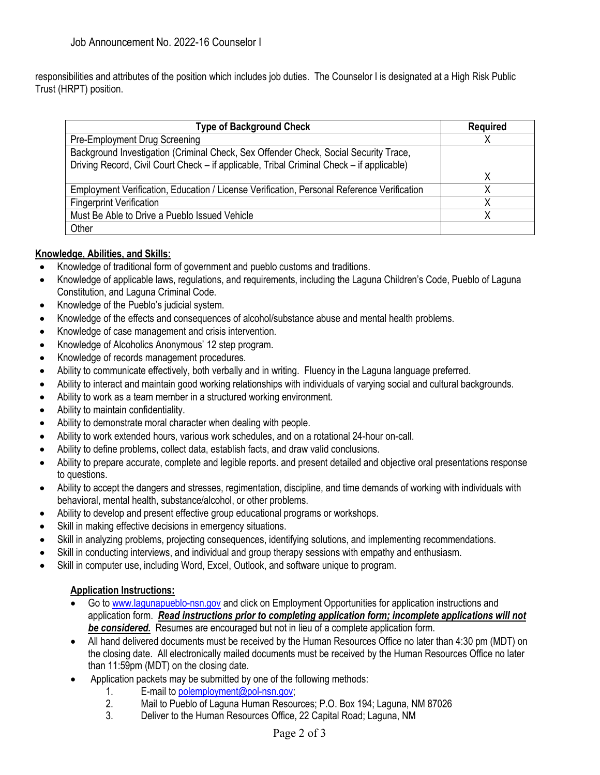responsibilities and attributes of the position which includes job duties. The Counselor I is designated at a High Risk Public Trust (HRPT) position.

| <b>Type of Background Check</b>                                                            | <b>Required</b> |
|--------------------------------------------------------------------------------------------|-----------------|
| Pre-Employment Drug Screening                                                              |                 |
| Background Investigation (Criminal Check, Sex Offender Check, Social Security Trace,       |                 |
| Driving Record, Civil Court Check – if applicable, Tribal Criminal Check – if applicable)  |                 |
|                                                                                            | χ               |
| Employment Verification, Education / License Verification, Personal Reference Verification |                 |
| <b>Fingerprint Verification</b>                                                            |                 |
| Must Be Able to Drive a Pueblo Issued Vehicle                                              |                 |
| Other                                                                                      |                 |

## **Knowledge, Abilities, and Skills:**

- Knowledge of traditional form of government and pueblo customs and traditions.
- Knowledge of applicable laws, regulations, and requirements, including the Laguna Children's Code, Pueblo of Laguna Constitution, and Laguna Criminal Code.
- Knowledge of the Pueblo's judicial system.
- Knowledge of the effects and consequences of alcohol/substance abuse and mental health problems.
- Knowledge of case management and crisis intervention.
- Knowledge of Alcoholics Anonymous' 12 step program.
- Knowledge of records management procedures.
- Ability to communicate effectively, both verbally and in writing. Fluency in the Laguna language preferred.
- Ability to interact and maintain good working relationships with individuals of varying social and cultural backgrounds.
- Ability to work as a team member in a structured working environment.
- Ability to maintain confidentiality.
- Ability to demonstrate moral character when dealing with people.
- Ability to work extended hours, various work schedules, and on a rotational 24-hour on-call.
- Ability to define problems, collect data, establish facts, and draw valid conclusions.
- Ability to prepare accurate, complete and legible reports. and present detailed and objective oral presentations response to questions.
- Ability to accept the dangers and stresses, regimentation, discipline, and time demands of working with individuals with behavioral, mental health, substance/alcohol, or other problems.
- Ability to develop and present effective group educational programs or workshops.
- Skill in making effective decisions in emergency situations.
- Skill in analyzing problems, projecting consequences, identifying solutions, and implementing recommendations.
- Skill in conducting interviews, and individual and group therapy sessions with empathy and enthusiasm.
- Skill in computer use, including Word, Excel, Outlook, and software unique to program.

### **Application Instructions:**

- Go t[o www.lagunapueblo-nsn.gov](http://www.lagunapueblo-nsn.gov/) and click on Employment Opportunities for application instructions and application form. *Read instructions prior to completing application form; incomplete applications will not be considered.* Resumes are encouraged but not in lieu of a complete application form.
- All hand delivered documents must be received by the Human Resources Office no later than 4:30 pm (MDT) on the closing date. All electronically mailed documents must be received by the Human Resources Office no later than 11:59pm (MDT) on the closing date.
- Application packets may be submitted by one of the following methods:
	- 1. E-mail to [polemployment@pol-nsn.gov;](mailto:polemployment@pol-nsn.gov)
	- 2. Mail to Pueblo of Laguna Human Resources; P.O. Box 194; Laguna, NM 87026<br>3. Deliver to the Human Resources Office. 22 Capital Road: Laguna. NM
	- Deliver to the Human Resources Office, 22 Capital Road; Laguna, NM